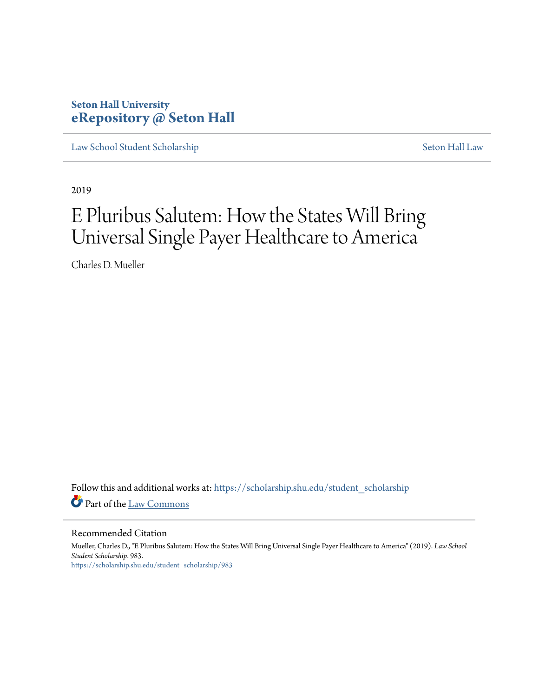## **Seton Hall University [eRepository @ Seton Hall](https://scholarship.shu.edu?utm_source=scholarship.shu.edu%2Fstudent_scholarship%2F983&utm_medium=PDF&utm_campaign=PDFCoverPages)**

[Law School Student Scholarship](https://scholarship.shu.edu/student_scholarship?utm_source=scholarship.shu.edu%2Fstudent_scholarship%2F983&utm_medium=PDF&utm_campaign=PDFCoverPages) [Seton Hall Law](https://scholarship.shu.edu/law?utm_source=scholarship.shu.edu%2Fstudent_scholarship%2F983&utm_medium=PDF&utm_campaign=PDFCoverPages)

2019

# E Pluribus Salutem: How the States Will Bring Universal Single Payer Healthcare to America

Charles D. Mueller

Follow this and additional works at: [https://scholarship.shu.edu/student\\_scholarship](https://scholarship.shu.edu/student_scholarship?utm_source=scholarship.shu.edu%2Fstudent_scholarship%2F983&utm_medium=PDF&utm_campaign=PDFCoverPages) Part of the [Law Commons](http://network.bepress.com/hgg/discipline/578?utm_source=scholarship.shu.edu%2Fstudent_scholarship%2F983&utm_medium=PDF&utm_campaign=PDFCoverPages)

Recommended Citation

Mueller, Charles D., "E Pluribus Salutem: How the States Will Bring Universal Single Payer Healthcare to America" (2019). *Law School Student Scholarship*. 983. [https://scholarship.shu.edu/student\\_scholarship/983](https://scholarship.shu.edu/student_scholarship/983?utm_source=scholarship.shu.edu%2Fstudent_scholarship%2F983&utm_medium=PDF&utm_campaign=PDFCoverPages)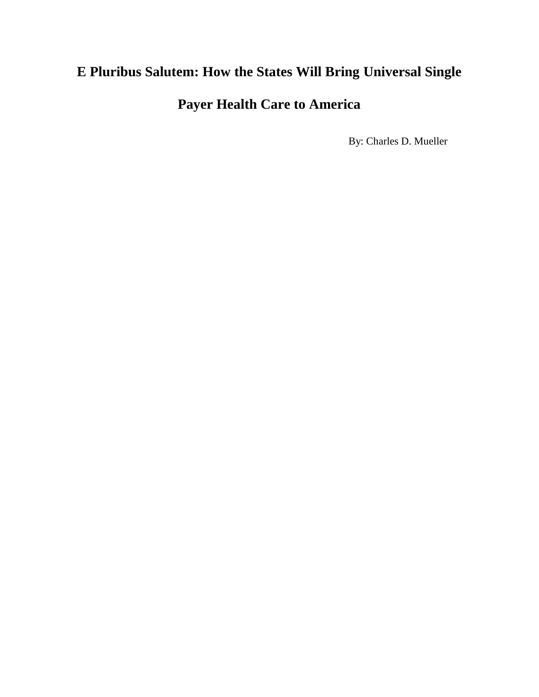# **E Pluribus Salutem: How the States Will Bring Universal Single**

**Payer Health Care to America**

By: Charles D. Mueller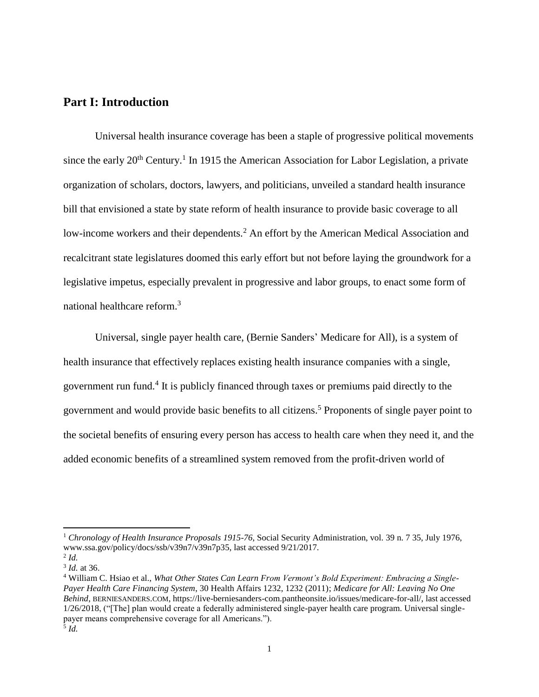#### **Part I: Introduction**

Universal health insurance coverage has been a staple of progressive political movements since the early  $20<sup>th</sup>$  Century.<sup>1</sup> In 1915 the American Association for Labor Legislation, a private organization of scholars, doctors, lawyers, and politicians, unveiled a standard health insurance bill that envisioned a state by state reform of health insurance to provide basic coverage to all low-income workers and their dependents.<sup>2</sup> An effort by the American Medical Association and recalcitrant state legislatures doomed this early effort but not before laying the groundwork for a legislative impetus, especially prevalent in progressive and labor groups, to enact some form of national healthcare reform.<sup>3</sup>

Universal, single payer health care, (Bernie Sanders' Medicare for All), is a system of health insurance that effectively replaces existing health insurance companies with a single, government run fund.<sup>4</sup> It is publicly financed through taxes or premiums paid directly to the government and would provide basic benefits to all citizens.<sup>5</sup> Proponents of single payer point to the societal benefits of ensuring every person has access to health care when they need it, and the added economic benefits of a streamlined system removed from the profit-driven world of

<sup>1</sup> *Chronology of Health Insurance Proposals 1915-76*, Social Security Administration, vol. 39 n. 7 35, July 1976, www.ssa.gov/policy/docs/ssb/v39n7/v39n7p35, last accessed 9/21/2017.

<sup>2</sup> *Id.*

<sup>3</sup> *Id.* at 36.

<sup>4</sup> William C. Hsiao et al., *What Other States Can Learn From Vermont's Bold Experiment: Embracing a Single-Payer Health Care Financing System*, 30 Health Affairs 1232, 1232 (2011); *Medicare for All: Leaving No One Behind*, BERNIESANDERS.COM, https://live-berniesanders-com.pantheonsite.io/issues/medicare-for-all/, last accessed 1/26/2018, ("[The] plan would create a federally administered single-payer health care program. Universal singlepayer means comprehensive coverage for all Americans."). 5 *Id.*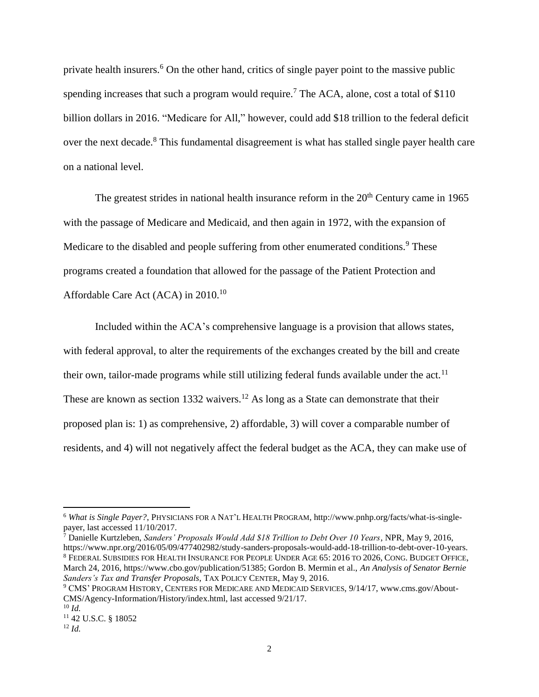private health insurers.<sup>6</sup> On the other hand, critics of single payer point to the massive public spending increases that such a program would require.<sup>7</sup> The ACA, alone, cost a total of \$110 billion dollars in 2016. "Medicare for All," however, could add \$18 trillion to the federal deficit over the next decade.<sup>8</sup> This fundamental disagreement is what has stalled single payer health care on a national level.

The greatest strides in national health insurance reform in the  $20<sup>th</sup>$  Century came in 1965 with the passage of Medicare and Medicaid, and then again in 1972, with the expansion of Medicare to the disabled and people suffering from other enumerated conditions.<sup>9</sup> These programs created a foundation that allowed for the passage of the Patient Protection and Affordable Care Act (ACA) in 2010.<sup>10</sup>

Included within the ACA's comprehensive language is a provision that allows states, with federal approval, to alter the requirements of the exchanges created by the bill and create their own, tailor-made programs while still utilizing federal funds available under the act.<sup>11</sup> These are known as section 1332 waivers.<sup>12</sup> As long as a State can demonstrate that their proposed plan is: 1) as comprehensive, 2) affordable, 3) will cover a comparable number of residents, and 4) will not negatively affect the federal budget as the ACA, they can make use of

<sup>7</sup> Danielle Kurtzleben, *Sanders' Proposals Would Add \$18 Trillion to Debt Over 10 Years*, NPR, May 9, 2016, https://www.npr.org/2016/05/09/477402982/study-sanders-proposals-would-add-18-trillion-to-debt-over-10-years. <sup>8</sup> FEDERAL SUBSIDIES FOR HEALTH INSURANCE FOR PEOPLE UNDER AGE 65: 2016 TO 2026, CONG. BUDGET OFFICE, March 24, 2016, https://www.cbo.gov/publication/51385; Gordon B. Mermin et al., *An Analysis of Senator Bernie Sanders's Tax and Transfer Proposals*, TAX POLICY CENTER, May 9, 2016.

<sup>6</sup> *What is Single Payer?*, PHYSICIANS FOR A NAT'L HEALTH PROGRAM, http://www.pnhp.org/facts/what-is-singlepayer, last accessed 11/10/2017.

<sup>9</sup> CMS' PROGRAM HISTORY, CENTERS FOR MEDICARE AND MEDICAID SERVICES, 9/14/17, www.cms.gov/About-CMS/Agency-Information/History/index.html, last accessed 9/21/17.

<sup>10</sup> *Id.*

<sup>11</sup> 42 U.S.C. § 18052

<sup>12</sup> *Id.*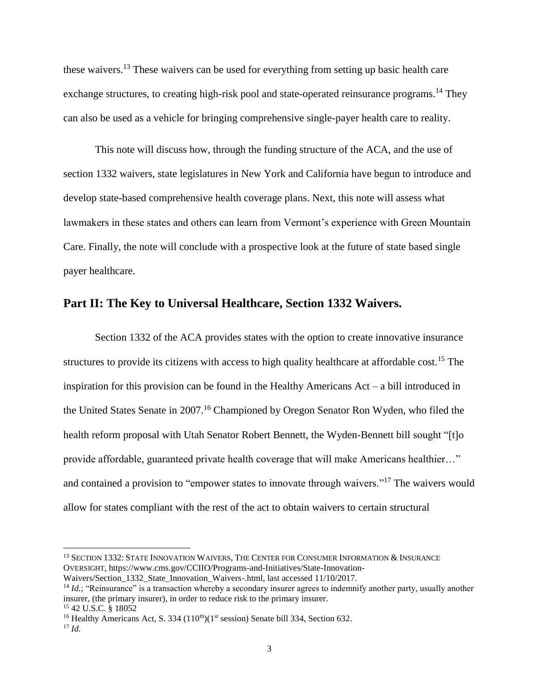these waivers.<sup>13</sup> These waivers can be used for everything from setting up basic health care exchange structures, to creating high-risk pool and state-operated reinsurance programs.<sup>14</sup> They can also be used as a vehicle for bringing comprehensive single-payer health care to reality.

This note will discuss how, through the funding structure of the ACA, and the use of section 1332 waivers, state legislatures in New York and California have begun to introduce and develop state-based comprehensive health coverage plans. Next, this note will assess what lawmakers in these states and others can learn from Vermont's experience with Green Mountain Care. Finally, the note will conclude with a prospective look at the future of state based single payer healthcare.

#### **Part II: The Key to Universal Healthcare, Section 1332 Waivers.**

Section 1332 of the ACA provides states with the option to create innovative insurance structures to provide its citizens with access to high quality healthcare at affordable cost.<sup>15</sup> The inspiration for this provision can be found in the Healthy Americans Act – a bill introduced in the United States Senate in 2007.<sup>16</sup> Championed by Oregon Senator Ron Wyden, who filed the health reform proposal with Utah Senator Robert Bennett, the Wyden-Bennett bill sought "[t]o provide affordable, guaranteed private health coverage that will make Americans healthier…" and contained a provision to "empower states to innovate through waivers."<sup>17</sup> The waivers would allow for states compliant with the rest of the act to obtain waivers to certain structural

<sup>&</sup>lt;sup>13</sup> SECTION 1332: STATE INNOVATION WAIVERS, THE CENTER FOR CONSUMER INFORMATION & INSURANCE OVERSIGHT, https://www.cms.gov/CCIIO/Programs-and-Initiatives/State-Innovation-Waivers/Section 1332 State Innovation Waivers-.html, last accessed 11/10/2017.

<sup>&</sup>lt;sup>14</sup> *Id.*; "Reinsurance" is a transaction whereby a secondary insurer agrees to indemnify another party, usually another insurer, (the primary insurer), in order to reduce risk to the primary insurer. <sup>15</sup> 42 U.S.C. § 18052

<sup>&</sup>lt;sup>16</sup> Healthy Americans Act, S. 334 ( $110<sup>th</sup>$ )( $1<sup>st</sup>$  session) Senate bill 334, Section 632.

<sup>17</sup> *Id.*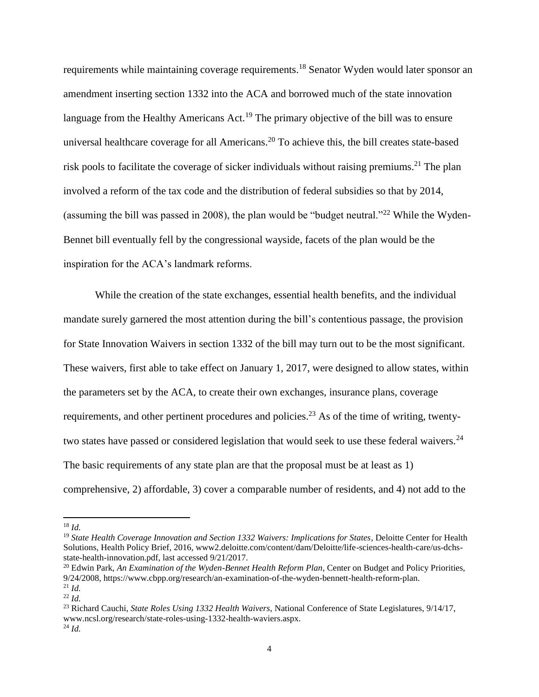requirements while maintaining coverage requirements.<sup>18</sup> Senator Wyden would later sponsor an amendment inserting section 1332 into the ACA and borrowed much of the state innovation language from the Healthy Americans Act.<sup>19</sup> The primary objective of the bill was to ensure universal healthcare coverage for all Americans.<sup>20</sup> To achieve this, the bill creates state-based risk pools to facilitate the coverage of sicker individuals without raising premiums.<sup>21</sup> The plan involved a reform of the tax code and the distribution of federal subsidies so that by 2014, (assuming the bill was passed in 2008), the plan would be "budget neutral."<sup>22</sup> While the Wyden-Bennet bill eventually fell by the congressional wayside, facets of the plan would be the inspiration for the ACA's landmark reforms.

While the creation of the state exchanges, essential health benefits, and the individual mandate surely garnered the most attention during the bill's contentious passage, the provision for State Innovation Waivers in section 1332 of the bill may turn out to be the most significant. These waivers, first able to take effect on January 1, 2017, were designed to allow states, within the parameters set by the ACA, to create their own exchanges, insurance plans, coverage requirements, and other pertinent procedures and policies.<sup>23</sup> As of the time of writing, twentytwo states have passed or considered legislation that would seek to use these federal waivers.<sup>24</sup> The basic requirements of any state plan are that the proposal must be at least as 1) comprehensive, 2) affordable, 3) cover a comparable number of residents, and 4) not add to the

l

<sup>18</sup> *Id.*

<sup>&</sup>lt;sup>19</sup> State Health Coverage Innovation and Section 1332 Waivers: Implications for States, Deloitte Center for Health Solutions, Health Policy Brief, 2016, www2.deloitte.com/content/dam/Deloitte/life-sciences-health-care/us-dchsstate-health-innovation.pdf, last accessed 9/21/2017.

<sup>20</sup> Edwin Park, *An Examination of the Wyden-Bennet Health Reform Plan*, Center on Budget and Policy Priorities, 9/24/2008, https://www.cbpp.org/research/an-examination-of-the-wyden-bennett-health-reform-plan. <sup>21</sup> *Id.*

<sup>22</sup> *Id.*

<sup>23</sup> Richard Cauchi, *State Roles Using 1332 Health Waivers*, National Conference of State Legislatures, 9/14/17, www.ncsl.org/research/state-roles-using-1332-health-waviers.aspx. <sup>24</sup> *Id.*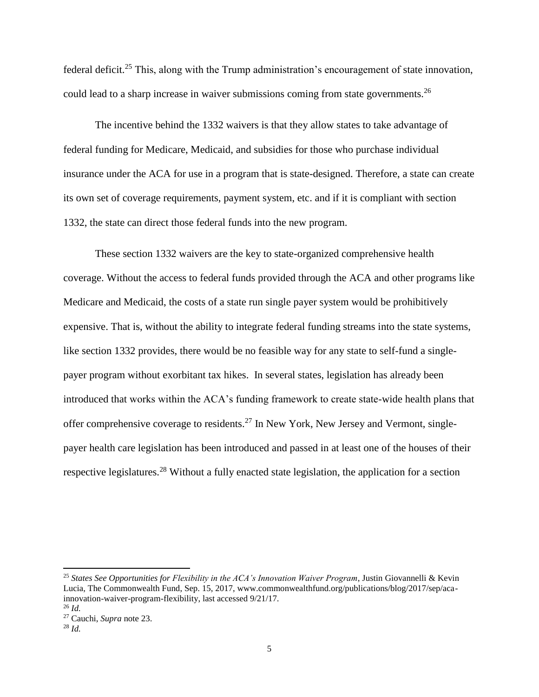federal deficit.<sup>25</sup> This, along with the Trump administration's encouragement of state innovation, could lead to a sharp increase in waiver submissions coming from state governments.<sup>26</sup>

The incentive behind the 1332 waivers is that they allow states to take advantage of federal funding for Medicare, Medicaid, and subsidies for those who purchase individual insurance under the ACA for use in a program that is state-designed. Therefore, a state can create its own set of coverage requirements, payment system, etc. and if it is compliant with section 1332, the state can direct those federal funds into the new program.

These section 1332 waivers are the key to state-organized comprehensive health coverage. Without the access to federal funds provided through the ACA and other programs like Medicare and Medicaid, the costs of a state run single payer system would be prohibitively expensive. That is, without the ability to integrate federal funding streams into the state systems, like section 1332 provides, there would be no feasible way for any state to self-fund a singlepayer program without exorbitant tax hikes. In several states, legislation has already been introduced that works within the ACA's funding framework to create state-wide health plans that offer comprehensive coverage to residents.<sup>27</sup> In New York, New Jersey and Vermont, singlepayer health care legislation has been introduced and passed in at least one of the houses of their respective legislatures.<sup>28</sup> Without a fully enacted state legislation, the application for a section

<sup>25</sup> *States See Opportunities for Flexibility in the ACA's Innovation Waiver Program*, Justin Giovannelli & Kevin Lucia, The Commonwealth Fund, Sep. 15, 2017, www.commonwealthfund.org/publications/blog/2017/sep/acainnovation-waiver-program-flexibility, last accessed 9/21/17. <sup>26</sup> *Id.*

<sup>27</sup> Cauchi, *Supra* note 23.

<sup>28</sup> *Id.*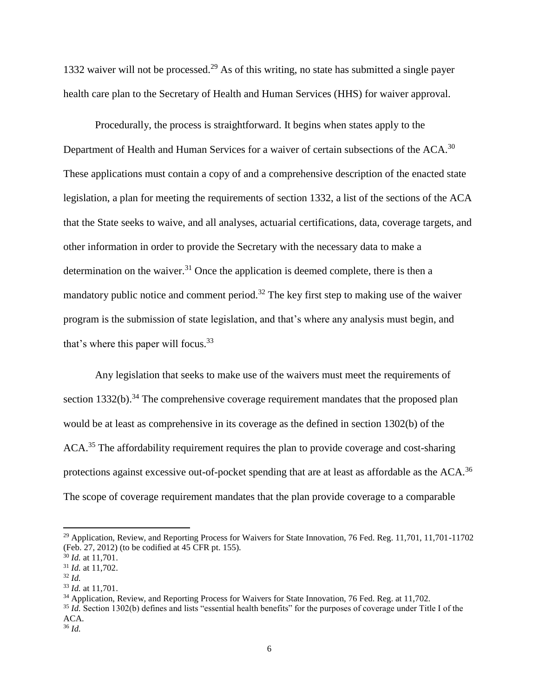1332 waiver will not be processed.<sup>29</sup> As of this writing, no state has submitted a single payer health care plan to the Secretary of Health and Human Services (HHS) for waiver approval.

Procedurally, the process is straightforward. It begins when states apply to the Department of Health and Human Services for a waiver of certain subsections of the ACA.<sup>30</sup> These applications must contain a copy of and a comprehensive description of the enacted state legislation, a plan for meeting the requirements of section 1332, a list of the sections of the ACA that the State seeks to waive, and all analyses, actuarial certifications, data, coverage targets, and other information in order to provide the Secretary with the necessary data to make a determination on the waiver.<sup>31</sup> Once the application is deemed complete, there is then a mandatory public notice and comment period.<sup>32</sup> The key first step to making use of the waiver program is the submission of state legislation, and that's where any analysis must begin, and that's where this paper will focus.<sup>33</sup>

Any legislation that seeks to make use of the waivers must meet the requirements of section 1332(b).<sup>34</sup> The comprehensive coverage requirement mandates that the proposed plan would be at least as comprehensive in its coverage as the defined in section 1302(b) of the ACA.<sup>35</sup> The affordability requirement requires the plan to provide coverage and cost-sharing protections against excessive out-of-pocket spending that are at least as affordable as the ACA.<sup>36</sup> The scope of coverage requirement mandates that the plan provide coverage to a comparable

<sup>&</sup>lt;sup>29</sup> Application, Review, and Reporting Process for Waivers for State Innovation, 76 Fed. Reg. 11,701, 11,701-11702 (Feb. 27, 2012) (to be codified at 45 CFR pt. 155).

<sup>30</sup> *Id.* at 11,701.

<sup>31</sup> *Id.* at 11,702.

<sup>32</sup> *Id.*

<sup>33</sup> *Id.* at 11,701.

<sup>34</sup> Application, Review, and Reporting Process for Waivers for State Innovation, 76 Fed. Reg. at 11,702.

<sup>35</sup> *Id.* Section 1302(b) defines and lists "essential health benefits" for the purposes of coverage under Title I of the ACA.

<sup>36</sup> *Id.*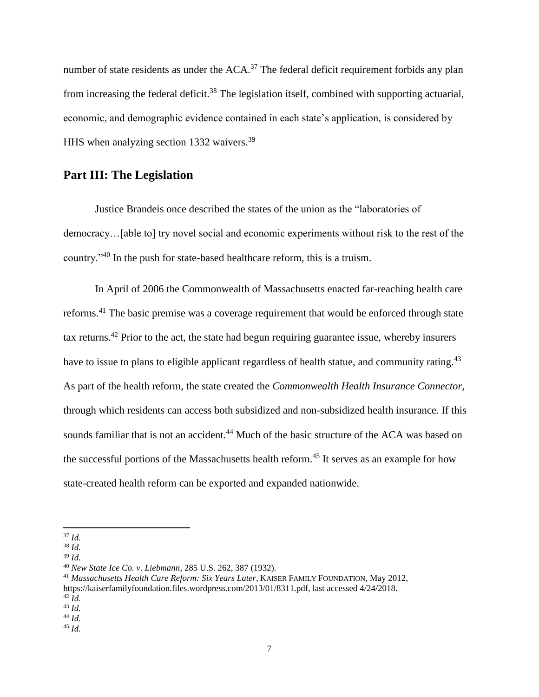number of state residents as under the  $ACA$ <sup>37</sup>. The federal deficit requirement forbids any plan from increasing the federal deficit.<sup>38</sup> The legislation itself, combined with supporting actuarial, economic, and demographic evidence contained in each state's application, is considered by HHS when analyzing section 1332 waivers.<sup>39</sup>

### **Part III: The Legislation**

Justice Brandeis once described the states of the union as the "laboratories of democracy…[able to] try novel social and economic experiments without risk to the rest of the country."<sup>40</sup> In the push for state-based healthcare reform, this is a truism.

In April of 2006 the Commonwealth of Massachusetts enacted far-reaching health care reforms.<sup>41</sup> The basic premise was a coverage requirement that would be enforced through state tax returns.<sup>42</sup> Prior to the act, the state had begun requiring guarantee issue, whereby insurers have to issue to plans to eligible applicant regardless of health statue, and community rating.<sup>43</sup> As part of the health reform, the state created the *Commonwealth Health Insurance Connector*, through which residents can access both subsidized and non-subsidized health insurance. If this sounds familiar that is not an accident.<sup>44</sup> Much of the basic structure of the ACA was based on the successful portions of the Massachusetts health reform.<sup>45</sup> It serves as an example for how state-created health reform can be exported and expanded nationwide.

<sup>37</sup> *Id.*

<sup>38</sup> *Id.*

<sup>39</sup> *Id.*

<sup>40</sup> *New State Ice Co. v. Liebmann*, 285 U.S. 262, 387 (1932).

<sup>41</sup> *Massachusetts Health Care Reform: Six Years Later*, KAISER FAMILY FOUNDATION, May 2012, https://kaiserfamilyfoundation.files.wordpress.com/2013/01/8311.pdf, last accessed 4/24/2018. <sup>42</sup> *Id.*

<sup>43</sup> *Id.*

<sup>44</sup> *Id.*

<sup>45</sup> *Id.*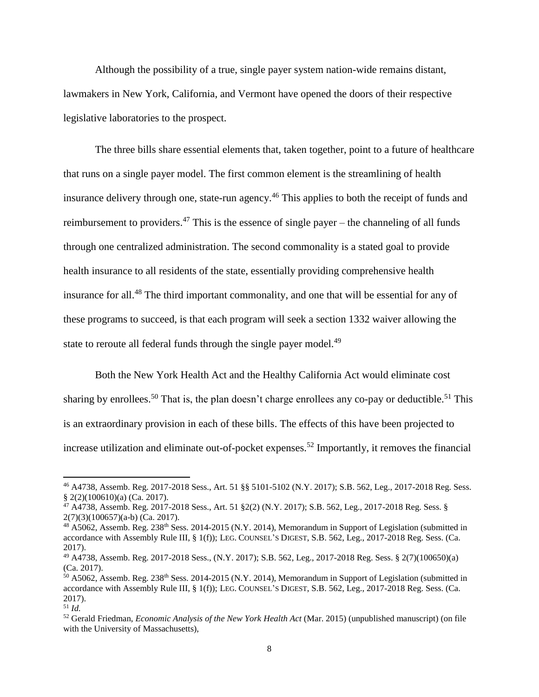Although the possibility of a true, single payer system nation-wide remains distant, lawmakers in New York, California, and Vermont have opened the doors of their respective legislative laboratories to the prospect.

The three bills share essential elements that, taken together, point to a future of healthcare that runs on a single payer model. The first common element is the streamlining of health insurance delivery through one, state-run agency.<sup>46</sup> This applies to both the receipt of funds and reimbursement to providers.<sup>47</sup> This is the essence of single payer – the channeling of all funds through one centralized administration. The second commonality is a stated goal to provide health insurance to all residents of the state, essentially providing comprehensive health insurance for all.<sup>48</sup> The third important commonality, and one that will be essential for any of these programs to succeed, is that each program will seek a section 1332 waiver allowing the state to reroute all federal funds through the single payer model.<sup>49</sup>

Both the New York Health Act and the Healthy California Act would eliminate cost sharing by enrollees.<sup>50</sup> That is, the plan doesn't charge enrollees any co-pay or deductible.<sup>51</sup> This is an extraordinary provision in each of these bills. The effects of this have been projected to increase utilization and eliminate out-of-pocket expenses.<sup>52</sup> Importantly, it removes the financial

<sup>46</sup> A4738, Assemb. Reg. 2017-2018 Sess., Art. 51 §§ 5101-5102 (N.Y. 2017); S.B. 562, Leg., 2017-2018 Reg. Sess. § 2(2)(100610)(a) (Ca. 2017).

<sup>47</sup> A4738, Assemb. Reg. 2017-2018 Sess., Art. 51 §2(2) (N.Y. 2017); S.B. 562, Leg., 2017-2018 Reg. Sess. § 2(7)(3)(100657)(a-b) (Ca. 2017).

<sup>48</sup> A5062, Assemb. Reg. 238<sup>th</sup> Sess. 2014-2015 (N.Y. 2014), Memorandum in Support of Legislation (submitted in accordance with Assembly Rule III, § 1(f)); LEG. COUNSEL'S DIGEST, S.B. 562, Leg., 2017-2018 Reg. Sess. (Ca. 2017).

<sup>49</sup> A4738, Assemb. Reg. 2017-2018 Sess., (N.Y. 2017); S.B. 562, Leg., 2017-2018 Reg. Sess. § 2(7)(100650)(a) (Ca. 2017).

 $50$  A5062, Assemb. Reg. 238<sup>th</sup> Sess. 2014-2015 (N.Y. 2014), Memorandum in Support of Legislation (submitted in accordance with Assembly Rule III, § 1(f)); LEG. COUNSEL'S DIGEST, S.B. 562, Leg., 2017-2018 Reg. Sess. (Ca. 2017).

<sup>51</sup> *Id.*

<sup>52</sup> Gerald Friedman, *Economic Analysis of the New York Health Act* (Mar. 2015) (unpublished manuscript) (on file with the University of Massachusetts),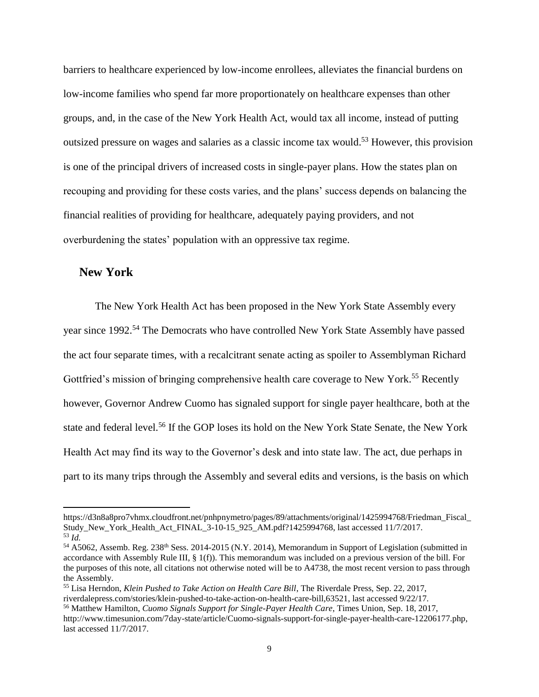barriers to healthcare experienced by low-income enrollees, alleviates the financial burdens on low-income families who spend far more proportionately on healthcare expenses than other groups, and, in the case of the New York Health Act, would tax all income, instead of putting outsized pressure on wages and salaries as a classic income tax would.<sup>53</sup> However, this provision is one of the principal drivers of increased costs in single-payer plans. How the states plan on recouping and providing for these costs varies, and the plans' success depends on balancing the financial realities of providing for healthcare, adequately paying providers, and not overburdening the states' population with an oppressive tax regime.

#### **New York**

 $\overline{\phantom{a}}$ 

The New York Health Act has been proposed in the New York State Assembly every year since 1992.<sup>54</sup> The Democrats who have controlled New York State Assembly have passed the act four separate times, with a recalcitrant senate acting as spoiler to Assemblyman Richard Gottfried's mission of bringing comprehensive health care coverage to New York.<sup>55</sup> Recently however, Governor Andrew Cuomo has signaled support for single payer healthcare, both at the state and federal level.<sup>56</sup> If the GOP loses its hold on the New York State Senate, the New York Health Act may find its way to the Governor's desk and into state law. The act, due perhaps in part to its many trips through the Assembly and several edits and versions, is the basis on which

https://d3n8a8pro7vhmx.cloudfront.net/pnhpnymetro/pages/89/attachments/original/1425994768/Friedman\_Fiscal\_ Study\_New\_York\_Health\_Act\_FINAL\_3-10-15\_925\_AM.pdf?1425994768, last accessed 11/7/2017. <sup>53</sup> *Id.*

<sup>54</sup> A5062, Assemb. Reg. 238<sup>th</sup> Sess. 2014-2015 (N.Y. 2014), Memorandum in Support of Legislation (submitted in accordance with Assembly Rule III, § 1(f)). This memorandum was included on a previous version of the bill. For the purposes of this note, all citations not otherwise noted will be to A4738, the most recent version to pass through the Assembly.

<sup>55</sup> Lisa Herndon, *Klein Pushed to Take Action on Health Care Bill*, The Riverdale Press, Sep. 22, 2017, riverdalepress.com/stories/klein-pushed-to-take-action-on-health-care-bill,63521, last accessed 9/22/17.

<sup>56</sup> Matthew Hamilton, *Cuomo Signals Support for Single-Payer Health Care*, Times Union, Sep. 18, 2017,

http://www.timesunion.com/7day-state/article/Cuomo-signals-support-for-single-payer-health-care-12206177.php, last accessed 11/7/2017.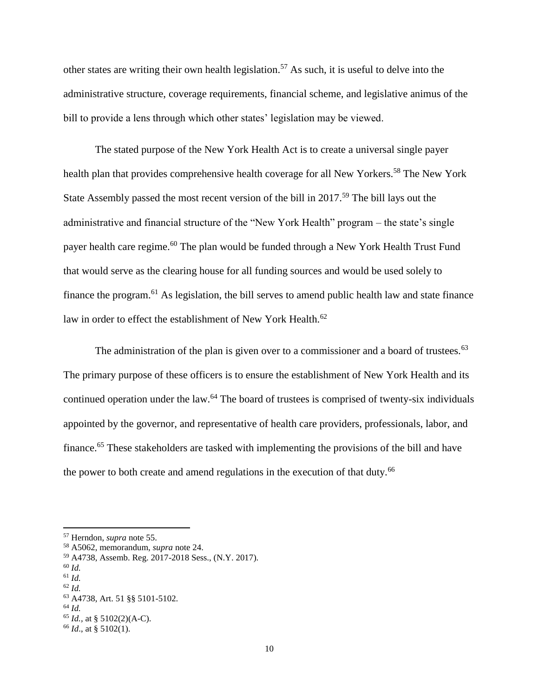other states are writing their own health legislation.<sup>57</sup> As such, it is useful to delve into the administrative structure, coverage requirements, financial scheme, and legislative animus of the bill to provide a lens through which other states' legislation may be viewed.

The stated purpose of the New York Health Act is to create a universal single payer health plan that provides comprehensive health coverage for all New Yorkers.<sup>58</sup> The New York State Assembly passed the most recent version of the bill in 2017.<sup>59</sup> The bill lays out the administrative and financial structure of the "New York Health" program – the state's single payer health care regime.<sup>60</sup> The plan would be funded through a New York Health Trust Fund that would serve as the clearing house for all funding sources and would be used solely to finance the program.<sup>61</sup> As legislation, the bill serves to amend public health law and state finance law in order to effect the establishment of New York Health.<sup>62</sup>

The administration of the plan is given over to a commissioner and a board of trustees.<sup>63</sup> The primary purpose of these officers is to ensure the establishment of New York Health and its continued operation under the law.<sup>64</sup> The board of trustees is comprised of twenty-six individuals appointed by the governor, and representative of health care providers, professionals, labor, and finance.<sup>65</sup> These stakeholders are tasked with implementing the provisions of the bill and have the power to both create and amend regulations in the execution of that duty.<sup>66</sup>

 $\overline{a}$ 

<sup>61</sup> *Id.*

<sup>64</sup> *Id.*

<sup>57</sup> Herndon, *supra* note 55.

<sup>58</sup> A5062, memorandum, *supra* note 24.

<sup>59</sup> A4738, Assemb. Reg. 2017-2018 Sess., (N.Y. 2017).

<sup>60</sup> *Id.*

<sup>62</sup> *Id.*

<sup>63</sup> A4738, Art. 51 §§ 5101-5102.

<sup>65</sup> *Id.,* at § 5102(2)(A-C). <sup>66</sup> *Id*., at § 5102(1).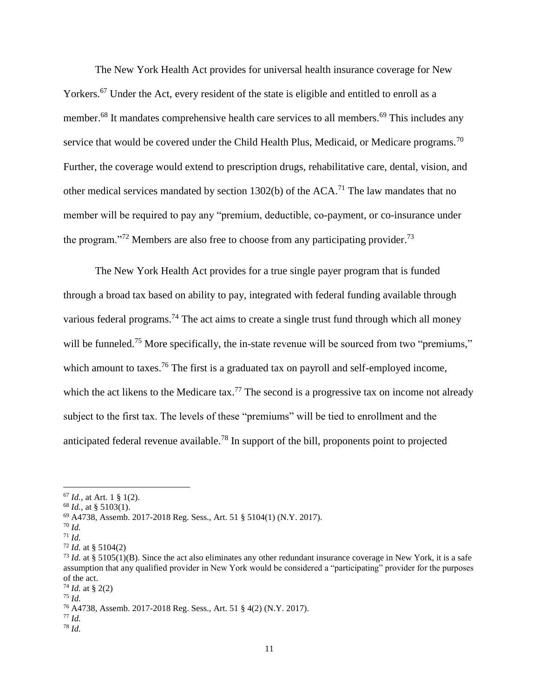The New York Health Act provides for universal health insurance coverage for New Yorkers.<sup>67</sup> Under the Act, every resident of the state is eligible and entitled to enroll as a member.<sup>68</sup> It mandates comprehensive health care services to all members.<sup>69</sup> This includes any service that would be covered under the Child Health Plus, Medicaid, or Medicare programs.<sup>70</sup> Further, the coverage would extend to prescription drugs, rehabilitative care, dental, vision, and other medical services mandated by section 1302(b) of the  $ACA$ <sup> $1$ </sup>. The law mandates that no member will be required to pay any "premium, deductible, co-payment, or co-insurance under the program."<sup>72</sup> Members are also free to choose from any participating provider.<sup>73</sup>

The New York Health Act provides for a true single payer program that is funded through a broad tax based on ability to pay, integrated with federal funding available through various federal programs.<sup>74</sup> The act aims to create a single trust fund through which all money will be funneled.<sup>75</sup> More specifically, the in-state revenue will be sourced from two "premiums," which amount to taxes.<sup>76</sup> The first is a graduated tax on payroll and self-employed income, which the act likens to the Medicare tax.<sup>77</sup> The second is a progressive tax on income not already subject to the first tax. The levels of these "premiums" will be tied to enrollment and the anticipated federal revenue available.<sup>78</sup> In support of the bill, proponents point to projected

<sup>70</sup> *Id.*

 $\overline{a}$ 

 $74$  *Id.* at § 2(2)

<sup>77</sup> *Id.* <sup>78</sup> *Id.*

<sup>67</sup> *Id.*, at Art. 1 § 1(2).

<sup>68</sup> *Id.*, at § 5103(1).

<sup>69</sup> A4738, Assemb. 2017-2018 Reg. Sess., Art. 51 § 5104(1) (N.Y. 2017).

<sup>71</sup> *Id.*

<sup>72</sup> *Id.* at § 5104(2)

<sup>&</sup>lt;sup>73</sup> *Id.* at § 5105(1)(B). Since the act also eliminates any other redundant insurance coverage in New York, it is a safe assumption that any qualified provider in New York would be considered a "participating" provider for the purposes of the act.

<sup>75</sup> *Id.*

<sup>76</sup> A4738, Assemb. 2017-2018 Reg. Sess., Art. 51 § 4(2) (N.Y. 2017).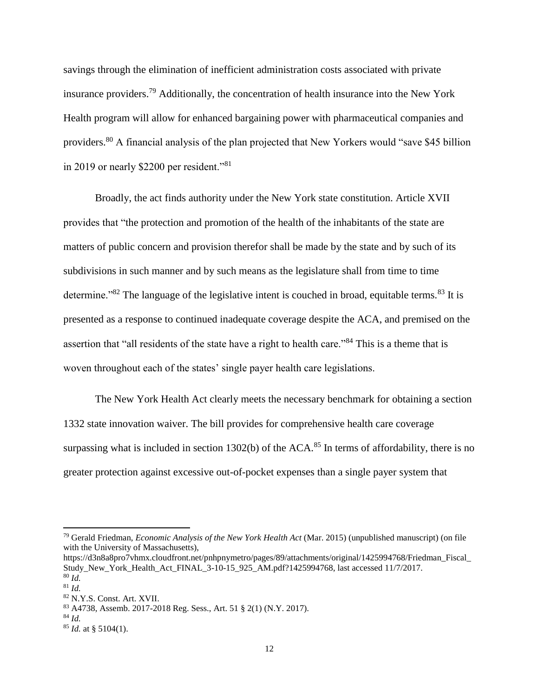savings through the elimination of inefficient administration costs associated with private insurance providers.<sup>79</sup> Additionally, the concentration of health insurance into the New York Health program will allow for enhanced bargaining power with pharmaceutical companies and providers.<sup>80</sup> A financial analysis of the plan projected that New Yorkers would "save \$45 billion in 2019 or nearly \$2200 per resident."<sup>81</sup>

Broadly, the act finds authority under the New York state constitution. Article XVII provides that "the protection and promotion of the health of the inhabitants of the state are matters of public concern and provision therefor shall be made by the state and by such of its subdivisions in such manner and by such means as the legislature shall from time to time determine." $82$  The language of the legislative intent is couched in broad, equitable terms. $83$  It is presented as a response to continued inadequate coverage despite the ACA, and premised on the assertion that "all residents of the state have a right to health care."<sup>84</sup> This is a theme that is woven throughout each of the states' single payer health care legislations.

The New York Health Act clearly meets the necessary benchmark for obtaining a section 1332 state innovation waiver. The bill provides for comprehensive health care coverage surpassing what is included in section 1302(b) of the ACA.<sup>85</sup> In terms of affordability, there is no greater protection against excessive out-of-pocket expenses than a single payer system that

 $\overline{a}$ 

<sup>84</sup> *Id.*

<sup>79</sup> Gerald Friedman, *Economic Analysis of the New York Health Act* (Mar. 2015) (unpublished manuscript) (on file with the University of Massachusetts),

https://d3n8a8pro7vhmx.cloudfront.net/pnhpnymetro/pages/89/attachments/original/1425994768/Friedman\_Fiscal\_ Study\_New\_York\_Health\_Act\_FINAL\_3-10-15\_925\_AM.pdf?1425994768, last accessed 11/7/2017. <sup>80</sup> *Id.*

<sup>81</sup> *Id.*

<sup>82</sup> N.Y.S. Const. Art. XVII.

<sup>83</sup> A4738, Assemb. 2017-2018 Reg. Sess., Art. 51 § 2(1) (N.Y. 2017).

<sup>85</sup> *Id.* at § 5104(1).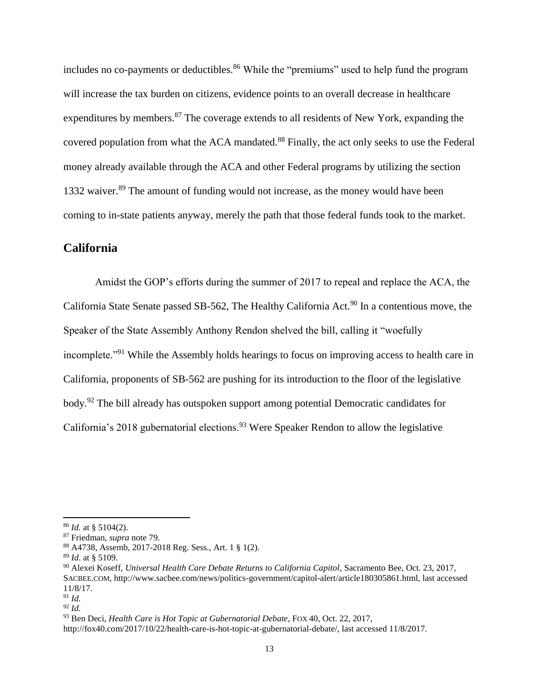includes no co-payments or deductibles.<sup>86</sup> While the "premiums" used to help fund the program will increase the tax burden on citizens, evidence points to an overall decrease in healthcare expenditures by members. $87$  The coverage extends to all residents of New York, expanding the covered population from what the ACA mandated.<sup>88</sup> Finally, the act only seeks to use the Federal money already available through the ACA and other Federal programs by utilizing the section 1332 waiver.<sup>89</sup> The amount of funding would not increase, as the money would have been coming to in-state patients anyway, merely the path that those federal funds took to the market.

#### **California**

Amidst the GOP's efforts during the summer of 2017 to repeal and replace the ACA, the California State Senate passed SB-562, The Healthy California Act.<sup>90</sup> In a contentious move, the Speaker of the State Assembly Anthony Rendon shelved the bill, calling it "woefully incomplete."<sup>91</sup> While the Assembly holds hearings to focus on improving access to health care in California, proponents of SB-562 are pushing for its introduction to the floor of the legislative body.<sup>92</sup> The bill already has outspoken support among potential Democratic candidates for California's 2018 gubernatorial elections.<sup>93</sup> Were Speaker Rendon to allow the legislative

l

<sup>86</sup> *Id.* at § 5104(2).

<sup>87</sup> Friedman, *supra* note 79.

<sup>88</sup> A4738, Assemb, 2017-2018 Reg. Sess., Art. 1 § 1(2).

<sup>89</sup> *Id*. at § 5109.

<sup>90</sup> Alexei Koseff, *Universal Health Care Debate Returns to California Capitol*, Sacramento Bee, Oct. 23, 2017, SACBEE.COM, http://www.sacbee.com/news/politics-government/capitol-alert/article180305861.html, last accessed 11/8/17.

<sup>91</sup> *Id.*

<sup>92</sup> *Id.*

<sup>93</sup> Ben Deci, *Health Care is Hot Topic at Gubernatorial Debate*, FOX 40, Oct. 22, 2017,

http://fox40.com/2017/10/22/health-care-is-hot-topic-at-gubernatorial-debate/, last accessed 11/8/2017.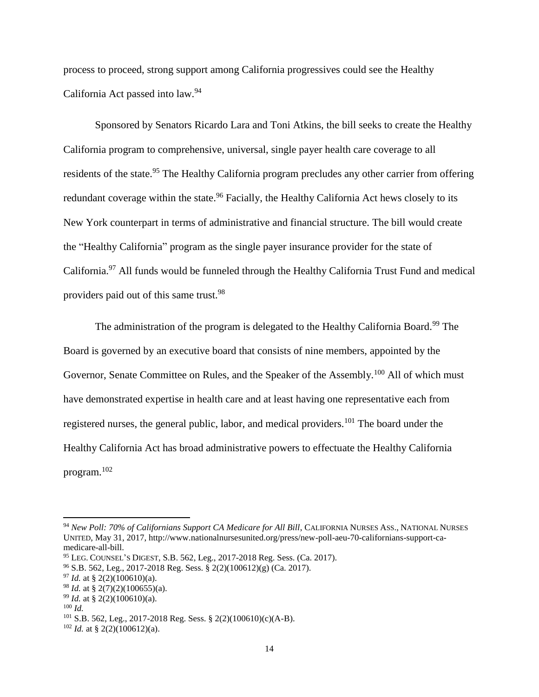process to proceed, strong support among California progressives could see the Healthy California Act passed into law.<sup>94</sup>

Sponsored by Senators Ricardo Lara and Toni Atkins, the bill seeks to create the Healthy California program to comprehensive, universal, single payer health care coverage to all residents of the state.<sup>95</sup> The Healthy California program precludes any other carrier from offering redundant coverage within the state.<sup>96</sup> Facially, the Healthy California Act hews closely to its New York counterpart in terms of administrative and financial structure. The bill would create the "Healthy California" program as the single payer insurance provider for the state of California.<sup>97</sup> All funds would be funneled through the Healthy California Trust Fund and medical providers paid out of this same trust.<sup>98</sup>

The administration of the program is delegated to the Healthy California Board.<sup>99</sup> The Board is governed by an executive board that consists of nine members, appointed by the Governor, Senate Committee on Rules, and the Speaker of the Assembly.<sup>100</sup> All of which must have demonstrated expertise in health care and at least having one representative each from registered nurses, the general public, labor, and medical providers.<sup>101</sup> The board under the Healthy California Act has broad administrative powers to effectuate the Healthy California program.<sup>102</sup>

l

<sup>&</sup>lt;sup>94</sup> New Poll: 70% of Californians Support CA Medicare for All Bill, CALIFORNIA NURSES ASS., NATIONAL NURSES UNITED, May 31, 2017, http://www.nationalnursesunited.org/press/new-poll-aeu-70-californians-support-camedicare-all-bill.

<sup>95</sup> LEG. COUNSEL'S DIGEST, S.B. 562, Leg., 2017-2018 Reg. Sess. (Ca. 2017).

 $96$  S.B. 562, Leg., 2017-2018 Reg. Sess. § 2(2)(100612)(g) (Ca. 2017).

 $^{97}$  *Id.* at § 2(2)(100610)(a).

<sup>98</sup> *Id.* at § 2(7)(2)(100655)(a).

<sup>99</sup> *Id.* at § 2(2)(100610)(a).

<sup>100</sup> *Id.*

<sup>101</sup> S.B. 562, Leg., 2017-2018 Reg. Sess. § 2(2)(100610)(c)(A-B).

<sup>102</sup> *Id.* at § 2(2)(100612)(a).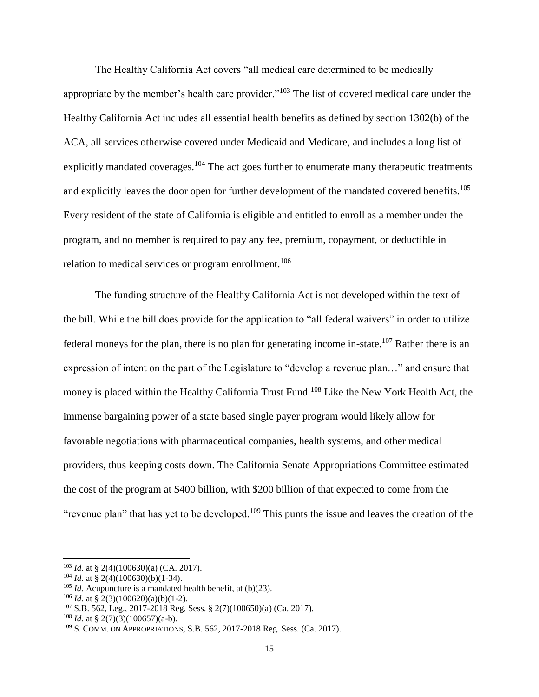The Healthy California Act covers "all medical care determined to be medically appropriate by the member's health care provider."<sup>103</sup> The list of covered medical care under the Healthy California Act includes all essential health benefits as defined by section 1302(b) of the ACA, all services otherwise covered under Medicaid and Medicare, and includes a long list of explicitly mandated coverages.<sup>104</sup> The act goes further to enumerate many therapeutic treatments and explicitly leaves the door open for further development of the mandated covered benefits.<sup>105</sup> Every resident of the state of California is eligible and entitled to enroll as a member under the program, and no member is required to pay any fee, premium, copayment, or deductible in relation to medical services or program enrollment.<sup>106</sup>

The funding structure of the Healthy California Act is not developed within the text of the bill. While the bill does provide for the application to "all federal waivers" in order to utilize federal moneys for the plan, there is no plan for generating income in-state.<sup>107</sup> Rather there is an expression of intent on the part of the Legislature to "develop a revenue plan…" and ensure that money is placed within the Healthy California Trust Fund.<sup>108</sup> Like the New York Health Act, the immense bargaining power of a state based single payer program would likely allow for favorable negotiations with pharmaceutical companies, health systems, and other medical providers, thus keeping costs down. The California Senate Appropriations Committee estimated the cost of the program at \$400 billion, with \$200 billion of that expected to come from the "revenue plan" that has yet to be developed.<sup>109</sup> This punts the issue and leaves the creation of the

<sup>103</sup> *Id.* at § 2(4)(100630)(a) (CA. 2017).

<sup>&</sup>lt;sup>104</sup> *Id.* at § 2(4)(100630)(b)(1-34).

<sup>105</sup> *Id.* Acupuncture is a mandated health benefit, at (b)(23).

<sup>&</sup>lt;sup>106</sup> *Id.* at § 2(3)(100620)(a)(b)(1-2).

<sup>107</sup> S.B. 562, Leg., 2017-2018 Reg. Sess. § 2(7)(100650)(a) (Ca. 2017).

<sup>&</sup>lt;sup>108</sup> *Id.* at § 2(7)(3)(100657)(a-b).

<sup>109</sup> S. COMM. ON APPROPRIATIONS, S.B. 562, 2017-2018 Reg. Sess. (Ca. 2017).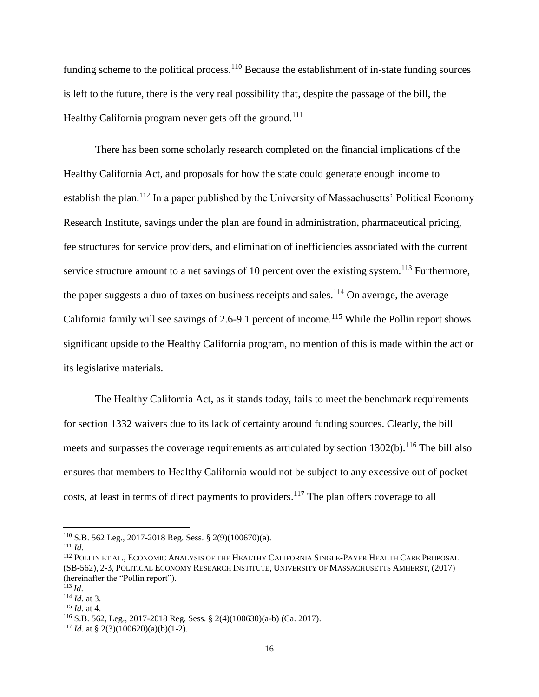funding scheme to the political process.<sup>110</sup> Because the establishment of in-state funding sources is left to the future, there is the very real possibility that, despite the passage of the bill, the Healthy California program never gets off the ground.<sup>111</sup>

There has been some scholarly research completed on the financial implications of the Healthy California Act, and proposals for how the state could generate enough income to establish the plan.<sup>112</sup> In a paper published by the University of Massachusetts' Political Economy Research Institute, savings under the plan are found in administration, pharmaceutical pricing, fee structures for service providers, and elimination of inefficiencies associated with the current service structure amount to a net savings of 10 percent over the existing system.<sup>113</sup> Furthermore, the paper suggests a duo of taxes on business receipts and sales.<sup>114</sup> On average, the average California family will see savings of 2.6-9.1 percent of income.<sup>115</sup> While the Pollin report shows significant upside to the Healthy California program, no mention of this is made within the act or its legislative materials.

The Healthy California Act, as it stands today, fails to meet the benchmark requirements for section 1332 waivers due to its lack of certainty around funding sources. Clearly, the bill meets and surpasses the coverage requirements as articulated by section  $1302(b)$ .<sup>116</sup> The bill also ensures that members to Healthy California would not be subject to any excessive out of pocket costs, at least in terms of direct payments to providers.<sup>117</sup> The plan offers coverage to all

<sup>110</sup> S.B. 562 Leg., 2017-2018 Reg. Sess. § 2(9)(100670)(a).

<sup>111</sup> *Id.*

<sup>112</sup> POLLIN ET AL., ECONOMIC ANALYSIS OF THE HEALTHY CALIFORNIA SINGLE-PAYER HEALTH CARE PROPOSAL (SB-562), 2-3, POLITICAL ECONOMY RESEARCH INSTITUTE, UNIVERSITY OF MASSACHUSETTS AMHERST, (2017) (hereinafter the "Pollin report").

 $^{113}$  *Id.* 

<sup>114</sup> *Id.* at 3.

<sup>115</sup> *Id.* at 4.

<sup>116</sup> S.B. 562, Leg., 2017-2018 Reg. Sess. § 2(4)(100630)(a-b) (Ca. 2017).

<sup>&</sup>lt;sup>117</sup> *Id.* at § 2(3)(100620)(a)(b)(1-2).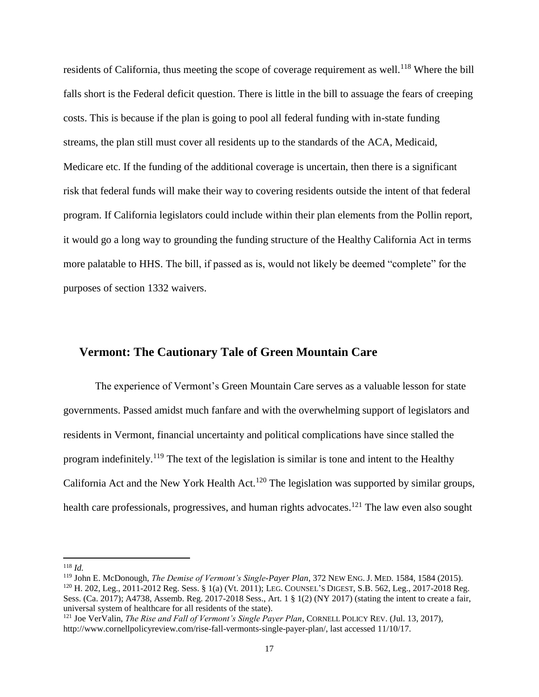residents of California, thus meeting the scope of coverage requirement as well.<sup>118</sup> Where the bill falls short is the Federal deficit question. There is little in the bill to assuage the fears of creeping costs. This is because if the plan is going to pool all federal funding with in-state funding streams, the plan still must cover all residents up to the standards of the ACA, Medicaid, Medicare etc. If the funding of the additional coverage is uncertain, then there is a significant risk that federal funds will make their way to covering residents outside the intent of that federal program. If California legislators could include within their plan elements from the Pollin report, it would go a long way to grounding the funding structure of the Healthy California Act in terms more palatable to HHS. The bill, if passed as is, would not likely be deemed "complete" for the purposes of section 1332 waivers.

#### **Vermont: The Cautionary Tale of Green Mountain Care**

The experience of Vermont's Green Mountain Care serves as a valuable lesson for state governments. Passed amidst much fanfare and with the overwhelming support of legislators and residents in Vermont, financial uncertainty and political complications have since stalled the program indefinitely.<sup>119</sup> The text of the legislation is similar is tone and intent to the Healthy California Act and the New York Health Act.<sup>120</sup> The legislation was supported by similar groups, health care professionals, progressives, and human rights advocates.<sup>121</sup> The law even also sought

 $\overline{\phantom{a}}$ <sup>118</sup> *Id.*

<sup>119</sup> John E. McDonough, *The Demise of Vermont's Single-Payer Plan*, 372 NEW ENG. J. MED. 1584, 1584 (2015). <sup>120</sup> H. 202, Leg., 2011-2012 Reg. Sess. § 1(a) (Vt. 2011); LEG. COUNSEL'S DIGEST, S.B. 562, Leg., 2017-2018 Reg. Sess. (Ca. 2017); A4738, Assemb. Reg. 2017-2018 Sess., Art. 1 § 1(2) (NY 2017) (stating the intent to create a fair, universal system of healthcare for all residents of the state).

<sup>121</sup> Joe VerValin, *The Rise and Fall of Vermont's Single Payer Plan*, CORNELL POLICY REV. (Jul. 13, 2017), http://www.cornellpolicyreview.com/rise-fall-vermonts-single-payer-plan/, last accessed 11/10/17.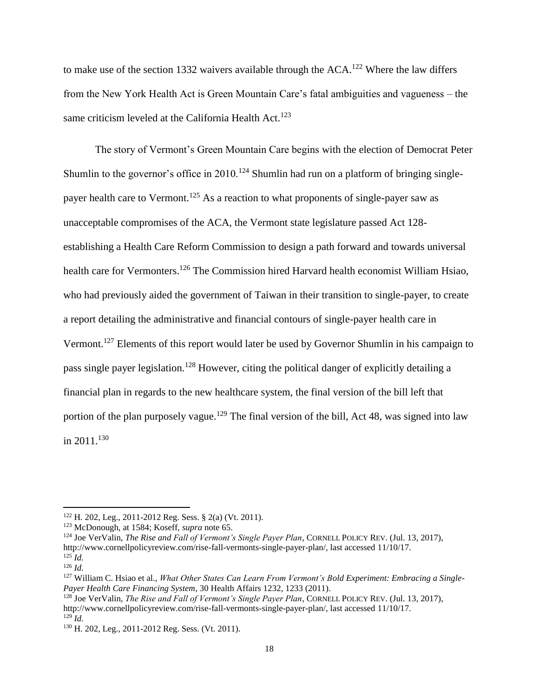to make use of the section 1332 waivers available through the ACA.<sup>122</sup> Where the law differs from the New York Health Act is Green Mountain Care's fatal ambiguities and vagueness – the same criticism leveled at the California Health Act.<sup>123</sup>

The story of Vermont's Green Mountain Care begins with the election of Democrat Peter Shumlin to the governor's office in  $2010$ .<sup>124</sup> Shumlin had run on a platform of bringing singlepayer health care to Vermont.<sup>125</sup> As a reaction to what proponents of single-payer saw as unacceptable compromises of the ACA, the Vermont state legislature passed Act 128 establishing a Health Care Reform Commission to design a path forward and towards universal health care for Vermonters.<sup>126</sup> The Commission hired Harvard health economist William Hsiao, who had previously aided the government of Taiwan in their transition to single-payer, to create a report detailing the administrative and financial contours of single-payer health care in Vermont.<sup>127</sup> Elements of this report would later be used by Governor Shumlin in his campaign to pass single payer legislation.<sup>128</sup> However, citing the political danger of explicitly detailing a financial plan in regards to the new healthcare system, the final version of the bill left that portion of the plan purposely vague.<sup>129</sup> The final version of the bill, Act 48, was signed into law in  $2011$ <sup>130</sup>

<sup>122</sup> H. 202, Leg., 2011-2012 Reg. Sess. § 2(a) (Vt. 2011).

<sup>123</sup> McDonough, at 1584; Koseff, *supra* note 65.

<sup>124</sup> Joe VerValin, *The Rise and Fall of Vermont's Single Payer Plan*, CORNELL POLICY REV. (Jul. 13, 2017), http://www.cornellpolicyreview.com/rise-fall-vermonts-single-payer-plan/, last accessed 11/10/17.  $^{125}$ *Id.* 

<sup>126</sup> *Id.*

<sup>127</sup> William C. Hsiao et al., *What Other States Can Learn From Vermont's Bold Experiment: Embracing a Single-Payer Health Care Financing System*, 30 Health Affairs 1232, 1233 (2011).

<sup>128</sup> Joe VerValin, *The Rise and Fall of Vermont's Single Payer Plan*, CORNELL POLICY REV. (Jul. 13, 2017), http://www.cornellpolicyreview.com/rise-fall-vermonts-single-payer-plan/, last accessed 11/10/17. <sup>129</sup> *Id.*

<sup>130</sup> H. 202, Leg., 2011-2012 Reg. Sess. (Vt. 2011).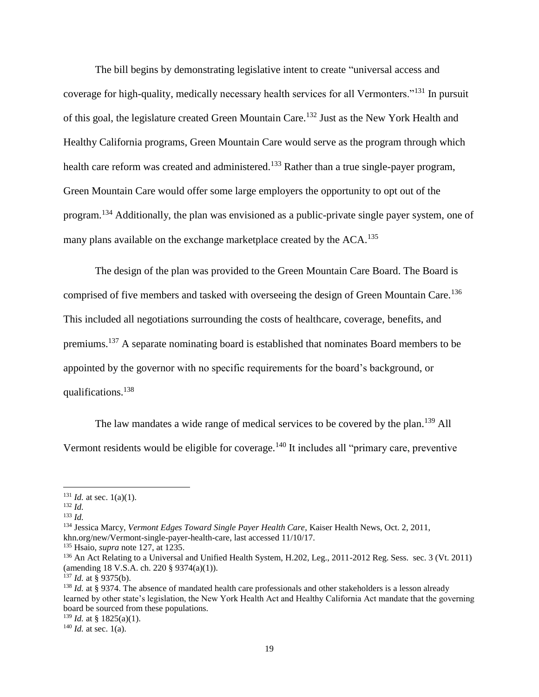The bill begins by demonstrating legislative intent to create "universal access and coverage for high-quality, medically necessary health services for all Vermonters."<sup>131</sup> In pursuit of this goal, the legislature created Green Mountain Care.<sup>132</sup> Just as the New York Health and Healthy California programs, Green Mountain Care would serve as the program through which health care reform was created and administered.<sup>133</sup> Rather than a true single-payer program, Green Mountain Care would offer some large employers the opportunity to opt out of the program.<sup>134</sup> Additionally, the plan was envisioned as a public-private single payer system, one of many plans available on the exchange marketplace created by the ACA.<sup>135</sup>

The design of the plan was provided to the Green Mountain Care Board. The Board is comprised of five members and tasked with overseeing the design of Green Mountain Care.<sup>136</sup> This included all negotiations surrounding the costs of healthcare, coverage, benefits, and premiums.<sup>137</sup> A separate nominating board is established that nominates Board members to be appointed by the governor with no specific requirements for the board's background, or qualifications.<sup>138</sup>

The law mandates a wide range of medical services to be covered by the plan.<sup>139</sup> All Vermont residents would be eligible for coverage.<sup>140</sup> It includes all "primary care, preventive

 $\overline{a}$ 

<sup>134</sup> Jessica Marcy, *Vermont Edges Toward Single Payer Health Care*, Kaiser Health News, Oct. 2, 2011, khn.org/new/Vermont-single-payer-health-care, last accessed 11/10/17.

<sup>137</sup> *Id.* at § 9375(b).

 $139$  *Id.* at § 1825(a)(1).

 $131$  *Id.* at sec. 1(a)(1).

<sup>132</sup> *Id.*

<sup>133</sup> *Id.*

<sup>135</sup> Hsaio, *supra* note 127, at 1235.

<sup>&</sup>lt;sup>136</sup> An Act Relating to a Universal and Unified Health System, H.202, Leg., 2011-2012 Reg. Sess. sec. 3 (Vt. 2011) (amending 18 V.S.A. ch. 220 § 9374(a)(1)).

<sup>&</sup>lt;sup>138</sup> *Id.* at § 9374. The absence of mandated health care professionals and other stakeholders is a lesson already learned by other state's legislation, the New York Health Act and Healthy California Act mandate that the governing board be sourced from these populations.

 $140$  *Id.* at sec. 1(a).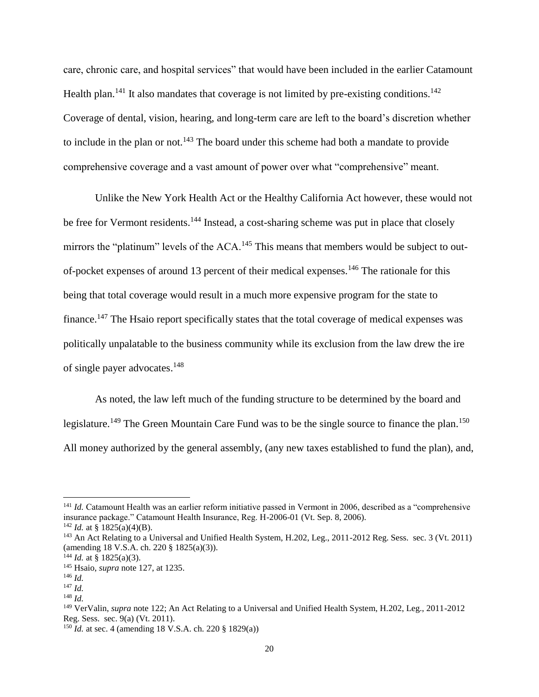care, chronic care, and hospital services" that would have been included in the earlier Catamount Health plan.<sup>141</sup> It also mandates that coverage is not limited by pre-existing conditions.<sup>142</sup> Coverage of dental, vision, hearing, and long-term care are left to the board's discretion whether to include in the plan or not.<sup>143</sup> The board under this scheme had both a mandate to provide comprehensive coverage and a vast amount of power over what "comprehensive" meant.

Unlike the New York Health Act or the Healthy California Act however, these would not be free for Vermont residents.<sup>144</sup> Instead, a cost-sharing scheme was put in place that closely mirrors the "platinum" levels of the ACA.<sup>145</sup> This means that members would be subject to outof-pocket expenses of around 13 percent of their medical expenses.<sup>146</sup> The rationale for this being that total coverage would result in a much more expensive program for the state to finance.<sup>147</sup> The Hsaio report specifically states that the total coverage of medical expenses was politically unpalatable to the business community while its exclusion from the law drew the ire of single payer advocates.<sup>148</sup>

As noted, the law left much of the funding structure to be determined by the board and legislature.<sup>149</sup> The Green Mountain Care Fund was to be the single source to finance the plan.<sup>150</sup> All money authorized by the general assembly, (any new taxes established to fund the plan), and,

<sup>&</sup>lt;sup>141</sup> *Id.* Catamount Health was an earlier reform initiative passed in Vermont in 2006, described as a "comprehensive insurance package." Catamount Health Insurance, Reg. H-2006-01 (Vt. Sep. 8, 2006).

<sup>&</sup>lt;sup>142</sup> *Id.* at § 1825(a)(4)(B).

<sup>&</sup>lt;sup>143</sup> An Act Relating to a Universal and Unified Health System, H.202, Leg., 2011-2012 Reg. Sess. sec. 3 (Vt. 2011) (amending 18 V.S.A. ch. 220 § 1825(a)(3)).

<sup>&</sup>lt;sup>144</sup> *Id.* at § 1825(a)(3).

<sup>145</sup> Hsaio, *supra* note 127, at 1235.

<sup>146</sup> *Id.*

<sup>147</sup> *Id.*

<sup>148</sup> *Id.*

<sup>149</sup> VerValin, *supra* note 122; An Act Relating to a Universal and Unified Health System, H.202, Leg., 2011-2012 Reg. Sess. sec. 9(a) (Vt. 2011).

<sup>150</sup> *Id.* at sec. 4 (amending 18 V.S.A. ch. 220 § 1829(a))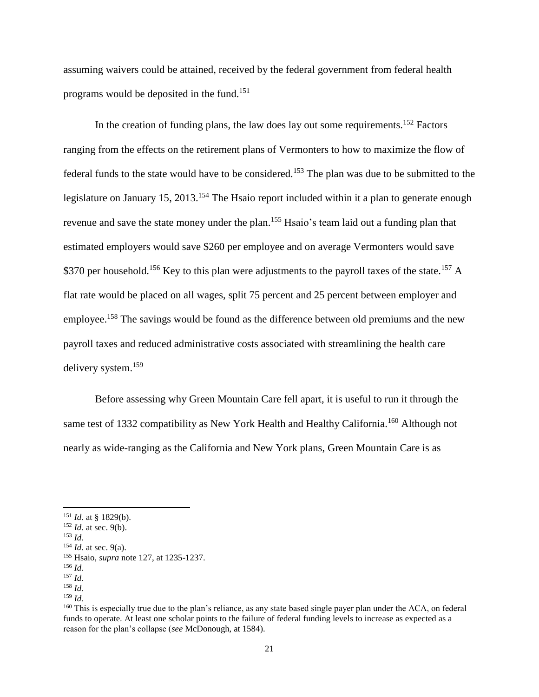assuming waivers could be attained, received by the federal government from federal health programs would be deposited in the fund.<sup>151</sup>

In the creation of funding plans, the law does lay out some requirements.<sup>152</sup> Factors ranging from the effects on the retirement plans of Vermonters to how to maximize the flow of federal funds to the state would have to be considered.<sup>153</sup> The plan was due to be submitted to the legislature on January 15, 2013.<sup>154</sup> The Hsaio report included within it a plan to generate enough revenue and save the state money under the plan.<sup>155</sup> Hsaio's team laid out a funding plan that estimated employers would save \$260 per employee and on average Vermonters would save \$370 per household.<sup>156</sup> Key to this plan were adjustments to the payroll taxes of the state.<sup>157</sup> A flat rate would be placed on all wages, split 75 percent and 25 percent between employer and employee.<sup>158</sup> The savings would be found as the difference between old premiums and the new payroll taxes and reduced administrative costs associated with streamlining the health care delivery system.<sup>159</sup>

Before assessing why Green Mountain Care fell apart, it is useful to run it through the same test of 1332 compatibility as New York Health and Healthy California.<sup>160</sup> Although not nearly as wide-ranging as the California and New York plans, Green Mountain Care is as

<sup>151</sup> *Id.* at § 1829(b).

<sup>152</sup> *Id.* at sec. 9(b).

<sup>153</sup> *Id.*

<sup>154</sup> *Id.* at sec. 9(a).

<sup>155</sup> Hsaio, *supra* note 127, at 1235-1237.

<sup>156</sup> *Id.* <sup>157</sup> *Id.*

<sup>158</sup> *Id.*

<sup>159</sup> *Id.*

<sup>&</sup>lt;sup>160</sup> This is especially true due to the plan's reliance, as any state based single payer plan under the ACA, on federal funds to operate. At least one scholar points to the failure of federal funding levels to increase as expected as a reason for the plan's collapse (*see* McDonough, at 1584).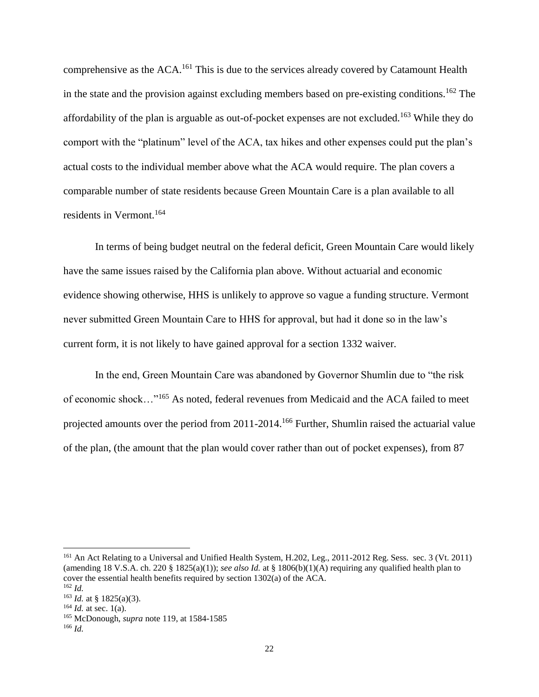comprehensive as the ACA.<sup>161</sup> This is due to the services already covered by Catamount Health in the state and the provision against excluding members based on pre-existing conditions.<sup>162</sup> The affordability of the plan is arguable as out-of-pocket expenses are not excluded.<sup>163</sup> While they do comport with the "platinum" level of the ACA, tax hikes and other expenses could put the plan's actual costs to the individual member above what the ACA would require. The plan covers a comparable number of state residents because Green Mountain Care is a plan available to all residents in Vermont.<sup>164</sup>

In terms of being budget neutral on the federal deficit, Green Mountain Care would likely have the same issues raised by the California plan above. Without actuarial and economic evidence showing otherwise, HHS is unlikely to approve so vague a funding structure. Vermont never submitted Green Mountain Care to HHS for approval, but had it done so in the law's current form, it is not likely to have gained approval for a section 1332 waiver.

In the end, Green Mountain Care was abandoned by Governor Shumlin due to "the risk of economic shock…"<sup>165</sup> As noted, federal revenues from Medicaid and the ACA failed to meet projected amounts over the period from 2011-2014.<sup>166</sup> Further, Shumlin raised the actuarial value of the plan, (the amount that the plan would cover rather than out of pocket expenses), from 87

<sup>&</sup>lt;sup>161</sup> An Act Relating to a Universal and Unified Health System, H.202, Leg., 2011-2012 Reg. Sess. sec. 3 (Vt. 2011) (amending 18 V.S.A. ch. 220 § 1825(a)(1)); *see also Id.* at § 1806(b)(1)(A) requiring any qualified health plan to cover the essential health benefits required by section 1302(a) of the ACA. <sup>162</sup> *Id.*

 $163$  *Id.* at § 1825(a)(3).

 $164$  *Id.* at sec. 1(a).

<sup>165</sup> McDonough, *supra* note 119, at 1584-1585

<sup>166</sup> *Id.*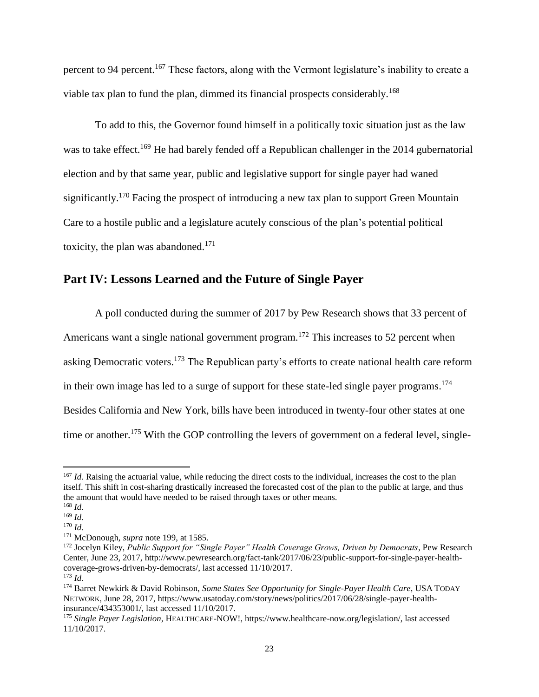percent to 94 percent.<sup>167</sup> These factors, along with the Vermont legislature's inability to create a viable tax plan to fund the plan, dimmed its financial prospects considerably.<sup>168</sup>

To add to this, the Governor found himself in a politically toxic situation just as the law was to take effect.<sup>169</sup> He had barely fended off a Republican challenger in the 2014 gubernatorial election and by that same year, public and legislative support for single payer had waned significantly.<sup>170</sup> Facing the prospect of introducing a new tax plan to support Green Mountain Care to a hostile public and a legislature acutely conscious of the plan's potential political toxicity, the plan was abandoned. $171$ 

#### **Part IV: Lessons Learned and the Future of Single Payer**

A poll conducted during the summer of 2017 by Pew Research shows that 33 percent of Americans want a single national government program.<sup>172</sup> This increases to 52 percent when asking Democratic voters.<sup>173</sup> The Republican party's efforts to create national health care reform in their own image has led to a surge of support for these state-led single payer programs. 174 Besides California and New York, bills have been introduced in twenty-four other states at one time or another.<sup>175</sup> With the GOP controlling the levers of government on a federal level, single-

<sup>&</sup>lt;sup>167</sup> *Id*. Raising the actuarial value, while reducing the direct costs to the individual, increases the cost to the plan itself. This shift in cost-sharing drastically increased the forecasted cost of the plan to the public at large, and thus the amount that would have needed to be raised through taxes or other means.

<sup>168</sup> *Id.*

<sup>169</sup> *Id.*

<sup>170</sup> *Id.*

<sup>171</sup> McDonough, *supra* note 199, at 1585.

<sup>&</sup>lt;sup>172</sup> Jocelyn Kiley, Public Support for "Single Payer" Health Coverage Grows, Driven by Democrats, Pew Research Center, June 23, 2017, http://www.pewresearch.org/fact-tank/2017/06/23/public-support-for-single-payer-healthcoverage-grows-driven-by-democrats/, last accessed 11/10/2017. <sup>173</sup> *Id.*

<sup>174</sup> Barret Newkirk & David Robinson, *Some States See Opportunity for Single-Payer Health Care*, USA TODAY NETWORK, June 28, 2017, https://www.usatoday.com/story/news/politics/2017/06/28/single-payer-healthinsurance/434353001/, last accessed 11/10/2017.

<sup>175</sup> *Single Payer Legislation*, HEALTHCARE-NOW!, https://www.healthcare-now.org/legislation/, last accessed 11/10/2017.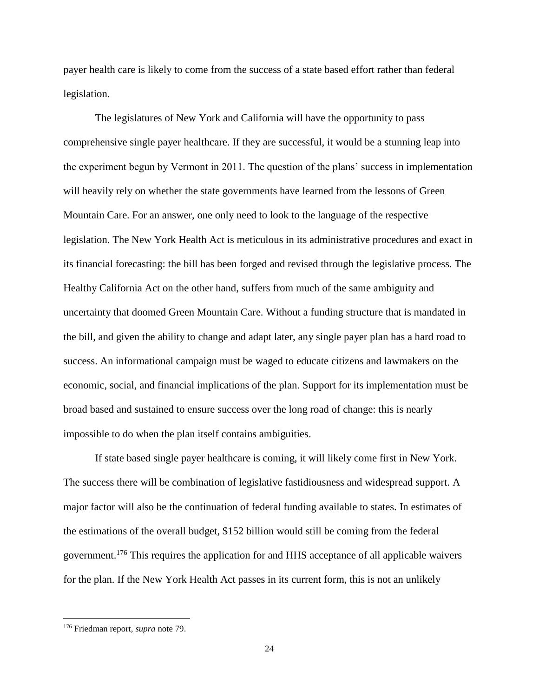payer health care is likely to come from the success of a state based effort rather than federal legislation.

The legislatures of New York and California will have the opportunity to pass comprehensive single payer healthcare. If they are successful, it would be a stunning leap into the experiment begun by Vermont in 2011. The question of the plans' success in implementation will heavily rely on whether the state governments have learned from the lessons of Green Mountain Care. For an answer, one only need to look to the language of the respective legislation. The New York Health Act is meticulous in its administrative procedures and exact in its financial forecasting: the bill has been forged and revised through the legislative process. The Healthy California Act on the other hand, suffers from much of the same ambiguity and uncertainty that doomed Green Mountain Care. Without a funding structure that is mandated in the bill, and given the ability to change and adapt later, any single payer plan has a hard road to success. An informational campaign must be waged to educate citizens and lawmakers on the economic, social, and financial implications of the plan. Support for its implementation must be broad based and sustained to ensure success over the long road of change: this is nearly impossible to do when the plan itself contains ambiguities.

If state based single payer healthcare is coming, it will likely come first in New York. The success there will be combination of legislative fastidiousness and widespread support. A major factor will also be the continuation of federal funding available to states. In estimates of the estimations of the overall budget, \$152 billion would still be coming from the federal government.<sup>176</sup> This requires the application for and HHS acceptance of all applicable waivers for the plan. If the New York Health Act passes in its current form, this is not an unlikely

<sup>176</sup> Friedman report, *supra* note 79.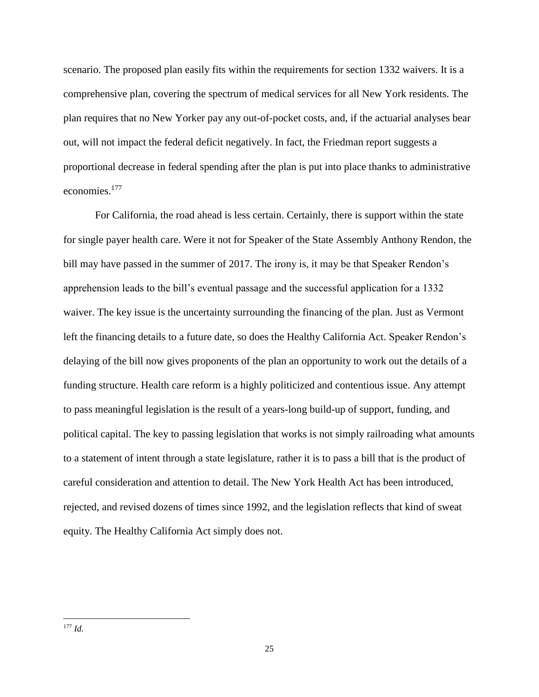scenario. The proposed plan easily fits within the requirements for section 1332 waivers. It is a comprehensive plan, covering the spectrum of medical services for all New York residents. The plan requires that no New Yorker pay any out-of-pocket costs, and, if the actuarial analyses bear out, will not impact the federal deficit negatively. In fact, the Friedman report suggests a proportional decrease in federal spending after the plan is put into place thanks to administrative economies.<sup>177</sup>

For California, the road ahead is less certain. Certainly, there is support within the state for single payer health care. Were it not for Speaker of the State Assembly Anthony Rendon, the bill may have passed in the summer of 2017. The irony is, it may be that Speaker Rendon's apprehension leads to the bill's eventual passage and the successful application for a 1332 waiver. The key issue is the uncertainty surrounding the financing of the plan. Just as Vermont left the financing details to a future date, so does the Healthy California Act. Speaker Rendon's delaying of the bill now gives proponents of the plan an opportunity to work out the details of a funding structure. Health care reform is a highly politicized and contentious issue. Any attempt to pass meaningful legislation is the result of a years-long build-up of support, funding, and political capital. The key to passing legislation that works is not simply railroading what amounts to a statement of intent through a state legislature, rather it is to pass a bill that is the product of careful consideration and attention to detail. The New York Health Act has been introduced, rejected, and revised dozens of times since 1992, and the legislation reflects that kind of sweat equity. The Healthy California Act simply does not.